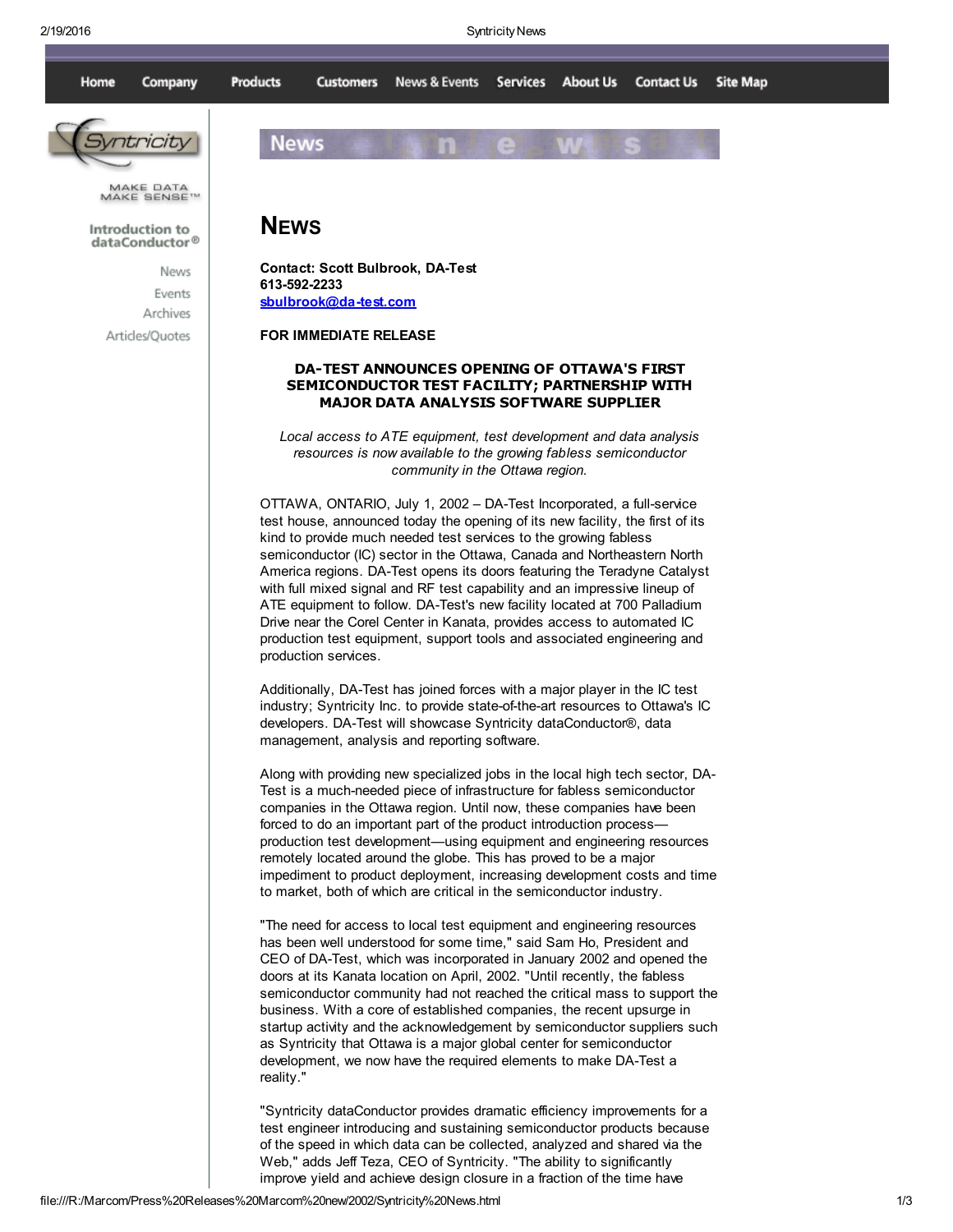

Events Archives Articles/Quotes Contact: Scott Bulbrook, DA-Test 613-592-2233 [sbulbrook@da-test.com](mailto:sbulbrook@da-test.com)

FOR IMMEDIATE RELEASE

## DA-TEST ANNOUNCES OPENING OF OTTAWA'S FIRST SEMICONDUCTOR TEST FACILITY; PARTNERSHIP WITH MAJOR DATA ANALYSIS SOFTWARE SUPPLIER

Local access to ATE equipment, test development and data analysis resources is now available to the growing fabless semiconductor community in the Ottawa region.

OTTAWA, ONTARIO, July 1, 2002 – DA-Test Incorporated, a full-service test house, announced today the opening of its new facility, the first of its kind to provide much needed test services to the growing fabless semiconductor (IC) sector in the Ottawa, Canada and Northeastern North America regions. DA-Test opens its doors featuring the Teradyne Catalyst with full mixed signal and RF test capability and an impressive lineup of ATE equipment to follow. DA-Test's new facility located at 700 Palladium Drive near the Corel Center in Kanata, provides access to automated IC production test equipment, support tools and associated engineering and production services.

Additionally, DA-Test has joined forces with a major player in the IC test industry; Syntricity Inc. to provide state-of-the-art resources to Ottawa's IC developers. DA-Test will showcase Syntricity dataConductor®, data management, analysis and reporting software.

Along with providing new specialized jobs in the local high tech sector, DA-Test is a much-needed piece of infrastructure for fabless semiconductor companies in the Ottawa region. Until now, these companies have been forced to do an important part of the product introduction process production test development—using equipment and engineering resources remotely located around the globe. This has proved to be a major impediment to product deployment, increasing development costs and time to market, both of which are critical in the semiconductor industry.

"The need for access to local test equipment and engineering resources has been well understood for some time," said Sam Ho, President and CEO of DA-Test, which was incorporated in January 2002 and opened the doors at its Kanata location on April, 2002. "Until recently, the fabless semiconductor community had not reached the critical mass to support the business. With a core of established companies, the recent upsurge in startup activity and the acknowledgement by semiconductor suppliers such as Syntricity that Ottawa is a major global center for semiconductor development, we now have the required elements to make DA-Test a reality."

"Syntricity dataConductor provides dramatic efficiency improvements for a test engineer introducing and sustaining semiconductor products because of the speed in which data can be collected, analyzed and shared via the Web," adds Jeff Teza, CEO of Syntricity. "The ability to significantly improve yield and achieve design closure in a fraction of the time have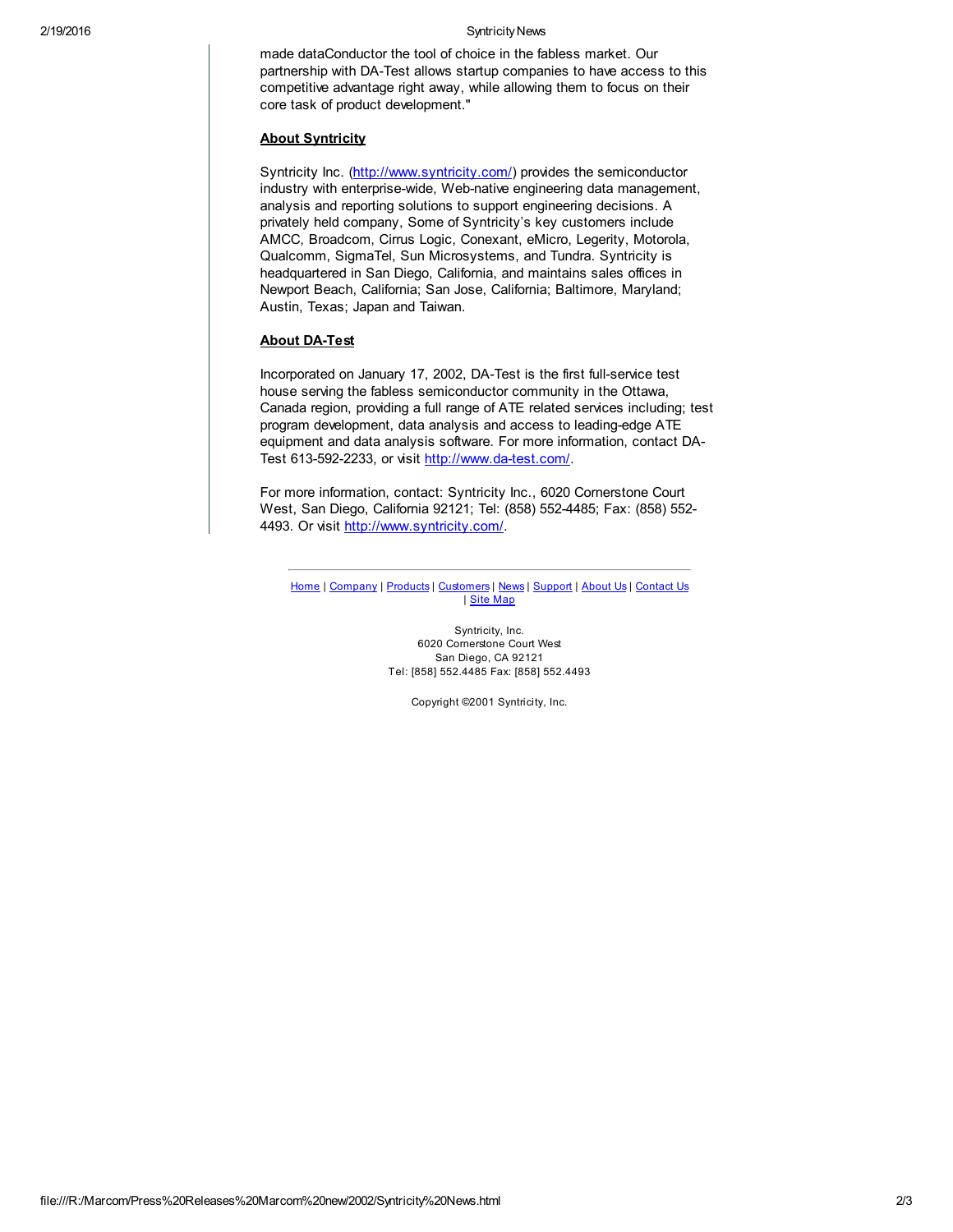## 2/19/2016 **Syntricity News**

made dataConductor the tool of choice in the fabless market. Our partnership with DA-Test allows startup companies to have access to this competitive advantage right away, while allowing them to focus on their core task of product development."

## About Syntricity

Syntricity Inc. [\(http://www.syntricity.com/](http://www.syntricity.com/)) provides the semiconductor industry with enterprise-wide, Web-native engineering data management, analysis and reporting solutions to support engineering decisions. A privately held company, Some of Syntricity's key customers include AMCC, Broadcom, Cirrus Logic, Conexant, eMicro, Legerity, Motorola, Qualcomm, SigmaTel, Sun Microsystems, and Tundra. Syntricity is headquartered in San Diego, California, and maintains sales offices in Newport Beach, California; San Jose, California; Baltimore, Maryland; Austin, Texas; Japan and Taiwan.

## About DA-Test

Incorporated on January 17, 2002, DA-Test is the first full-service test house serving the fabless semiconductor community in the Ottawa, Canada region, providing a full range of ATE related services including; test program development, data analysis and access to leading-edge ATE equipment and data analysis software. For more information, contact DA-Test 613-592-2233, or visit <http://www.da-test.com/>.

For more information, contact: Syntricity Inc., 6020 Cornerstone Court West, San Diego, California 92121; Tel: (858) 552-4485; Fax: (858) 552- 4493. Or visit [http://www.syntricity.com/.](http://www.syntricity.com/)

[Home](http://www.syntricity.com/index.htm) | [Company](http://www.syntricity.com/Company/factsheet.htm) | [Products](http://www.syntricity.com/Products/Overview.htm) | [Customers](http://www.syntricity.com/Customers/Customers.htm) | [News](http://www.syntricity.com/news.htm) | [Support](http://www.syntricity.com/support.htm) | [About](http://www.syntricity.com/about.htm) Us | [Contact](http://www.syntricity.com/Contact/Offices.htm) Us | Site [Map](http://www.syntricity.com/Map.htm)

> Syntricity, Inc. 6020 Cornerstone Court West San Diego, CA 92121 Tel: [858] 552.4485 Fax: [858] 552.4493

> > Copyright ©2001 Syntricity, Inc.